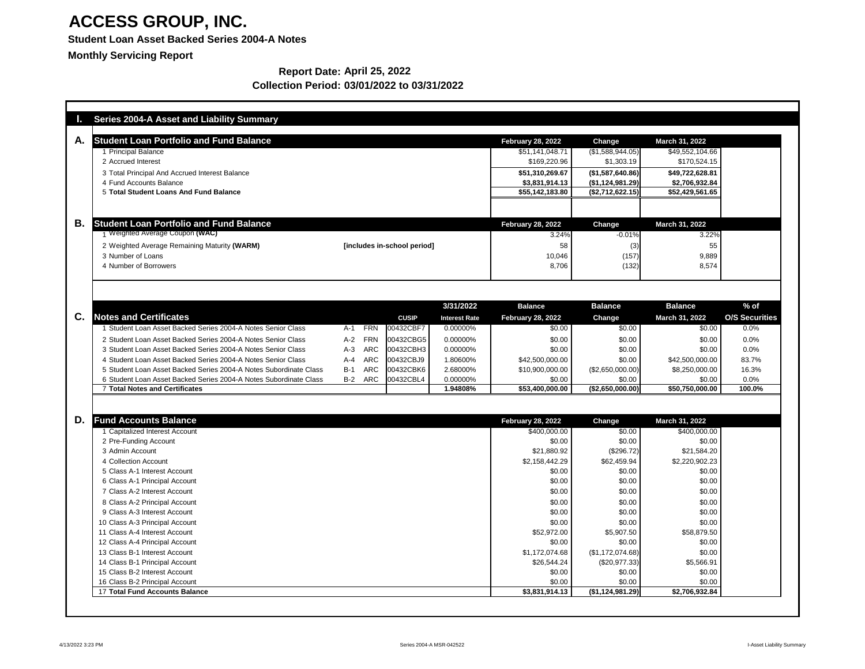### **Student Loan Asset Backed Series 2004-A Notes**

**Monthly Servicing Report**

|    | <b>Series 2004-A Asset and Liability Summary</b>                  |                     |                             |                      |                          |                    |                       |                       |
|----|-------------------------------------------------------------------|---------------------|-----------------------------|----------------------|--------------------------|--------------------|-----------------------|-----------------------|
| A. | <b>Student Loan Portfolio and Fund Balance</b>                    |                     |                             |                      | <b>February 28, 2022</b> | Change             | March 31, 2022        |                       |
|    | 1 Principal Balance                                               |                     |                             |                      | \$51,141,048.71          | (\$1,588,944.05)   | \$49,552,104.66       |                       |
|    | 2 Accrued Interest                                                |                     |                             |                      | \$169,220.96             | \$1,303.19         | \$170,524.15          |                       |
|    | 3 Total Principal And Accrued Interest Balance                    |                     |                             |                      | \$51,310,269.67          | (\$1,587,640.86)   | \$49,722,628.81       |                       |
|    | 4 Fund Accounts Balance                                           |                     |                             |                      | \$3,831,914.13           | (\$1,124,981.29)   | \$2,706,932.84        |                       |
|    | 5 Total Student Loans And Fund Balance                            |                     |                             |                      | \$55,142,183.80          | (\$2,712,622.15)   | \$52,429,561.65       |                       |
|    |                                                                   |                     |                             |                      |                          |                    |                       |                       |
| В. | <b>Student Loan Portfolio and Fund Balance</b>                    |                     |                             |                      | <b>February 28, 2022</b> | Change             | <b>March 31, 2022</b> |                       |
|    | Weighted Average Coupon (WAC)                                     |                     |                             |                      | 3.24%                    | $-0.01%$           | 3.22%                 |                       |
|    | 2 Weighted Average Remaining Maturity (WARM)                      |                     | [includes in-school period] |                      | 58                       | (3)                | 55                    |                       |
|    | 3 Number of Loans                                                 |                     |                             |                      | 10,046                   | (157)              | 9,889                 |                       |
|    | 4 Number of Borrowers                                             |                     |                             |                      | 8,706                    | (132)              | 8,574                 |                       |
|    |                                                                   |                     |                             |                      |                          |                    |                       |                       |
|    |                                                                   |                     |                             |                      |                          |                    |                       |                       |
|    |                                                                   |                     |                             | 3/31/2022            | <b>Balance</b>           | <b>Balance</b>     | <b>Balance</b>        | $%$ of                |
| C. | <b>Notes and Certificates</b>                                     |                     | <b>CUSIP</b>                | <b>Interest Rate</b> | <b>February 28, 2022</b> | <b>Change</b>      | <b>March 31, 2022</b> | <b>O/S Securities</b> |
|    | Student Loan Asset Backed Series 2004-A Notes Senior Class        | <b>FRN</b><br>$A-1$ | 00432CBF7                   | 0.00000%             | \$0.00                   | \$0.00             | \$0.00                | 0.0%                  |
|    | 2 Student Loan Asset Backed Series 2004-A Notes Senior Class      | $A-2$<br><b>FRN</b> | 00432CBG5                   | 0.00000%             | \$0.00                   | \$0.00             | \$0.00                | 0.0%                  |
|    | 3 Student Loan Asset Backed Series 2004-A Notes Senior Class      | <b>ARC</b><br>$A-3$ | 00432CBH3                   | 0.00000%             | \$0.00                   | \$0.00             | \$0.00                | 0.0%                  |
|    | 4 Student Loan Asset Backed Series 2004-A Notes Senior Class      | <b>ARC</b><br>$A-4$ | 00432CBJ9                   | 1.80600%             | \$42,500,000.00          | \$0.00             | \$42,500,000.00       | 83.7%                 |
|    | 5 Student Loan Asset Backed Series 2004-A Notes Subordinate Class | <b>ARC</b><br>$B-1$ | 00432CBK6                   | 2.68000%             | \$10,900,000.00          | $(\$2,650,000.00)$ | \$8,250,000.00        | 16.3%                 |
|    | 6 Student Loan Asset Backed Series 2004-A Notes Subordinate Class | ARC<br>$B-2$        | 00432CBL4                   | 0.00000%             | \$0.00                   | \$0.00             | \$0.00                | 0.0%                  |
|    | <b>7 Total Notes and Certificates</b>                             |                     |                             | 1.94808%             | \$53,400,000.00          | (\$2,650,000.00)   | \$50,750,000.00       | 100.0%                |
|    |                                                                   |                     |                             |                      |                          |                    |                       |                       |
| D. | <b>Fund Accounts Balance</b>                                      |                     |                             |                      | <b>February 28, 2022</b> | Change             | March 31, 2022        |                       |
|    | <b>Capitalized Interest Account</b>                               |                     |                             |                      | \$400,000.00             | \$0.00             | \$400,000.00          |                       |
|    | 2 Pre-Funding Account                                             |                     |                             |                      | \$0.00                   | \$0.00             | \$0.00                |                       |
|    | 3 Admin Account                                                   |                     |                             |                      | \$21,880.92              | (\$296.72)         | \$21,584.20           |                       |
|    | 4 Collection Account                                              |                     |                             |                      | \$2,158,442.29           | \$62,459.94        | \$2,220,902.23        |                       |
|    | 5 Class A-1 Interest Account                                      |                     |                             |                      | \$0.00                   | \$0.00             | \$0.00                |                       |
|    | 6 Class A-1 Principal Account                                     |                     |                             |                      | \$0.00                   | \$0.00             | \$0.00                |                       |
|    | 7 Class A-2 Interest Account                                      |                     |                             |                      | \$0.00                   | \$0.00             | \$0.00                |                       |
|    | 8 Class A-2 Principal Account                                     |                     |                             |                      | \$0.00                   | \$0.00             | \$0.00                |                       |
|    | 9 Class A-3 Interest Account                                      |                     |                             |                      | \$0.00                   | \$0.00             | \$0.00                |                       |
|    | 10 Class A-3 Principal Account                                    |                     |                             |                      | \$0.00                   | \$0.00             | \$0.00                |                       |
|    | 11 Class A-4 Interest Account                                     |                     |                             |                      | \$52,972.00              | \$5,907.50         | \$58,879.50           |                       |
|    | 12 Class A-4 Principal Account                                    |                     |                             |                      | \$0.00                   | \$0.00             | \$0.00                |                       |
|    | 13 Class B-1 Interest Account                                     |                     |                             |                      | \$1,172,074.68           | (\$1,172,074.68)   | \$0.00                |                       |
|    | 14 Class B-1 Principal Account<br>15 Class B-2 Interest Account   |                     |                             |                      | \$26,544.24              | $(\$20,977.33)$    | \$5,566.91            |                       |
|    | 16 Class B-2 Principal Account                                    |                     |                             |                      | \$0.00<br>\$0.00         | \$0.00<br>\$0.00   | \$0.00<br>\$0.00      |                       |
|    | <b>17 Total Fund Accounts Balance</b>                             |                     |                             |                      | \$3,831,914.13           | (\$1,124,981.29)   | \$2,706,932.84        |                       |
|    |                                                                   |                     |                             |                      |                          |                    |                       |                       |

#### **Report Date: April 25, 2022 Collection Period: 03/01/2022 to 03/31/2022**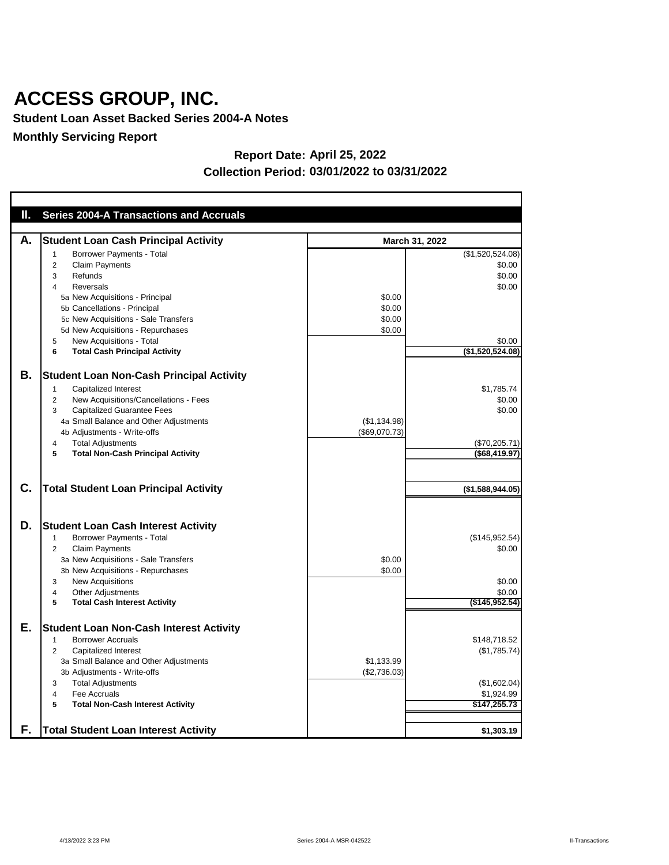**Student Loan Asset Backed Series 2004-A Notes**

**Monthly Servicing Report**

| U., | <b>Series 2004-A Transactions and Accruals</b>                                                                                                                                                                                                                                                                                        |                                      |                                                                              |
|-----|---------------------------------------------------------------------------------------------------------------------------------------------------------------------------------------------------------------------------------------------------------------------------------------------------------------------------------------|--------------------------------------|------------------------------------------------------------------------------|
|     |                                                                                                                                                                                                                                                                                                                                       |                                      |                                                                              |
| А.  | <b>Student Loan Cash Principal Activity</b>                                                                                                                                                                                                                                                                                           |                                      | March 31, 2022                                                               |
|     | <b>Borrower Payments - Total</b><br><b>Claim Payments</b><br>2<br>Refunds<br>3<br><b>Reversals</b><br>4<br>5a New Acquisitions - Principal<br>5b Cancellations - Principal<br>5c New Acquisitions - Sale Transfers<br>5d New Acquisitions - Repurchases<br>New Acquisitions - Total<br>5<br><b>Total Cash Principal Activity</b><br>6 | \$0.00<br>\$0.00<br>\$0.00<br>\$0.00 | (\$1,520,524.08)<br>\$0.00<br>\$0.00<br>\$0.00<br>\$0.00<br>(\$1,520,524.08) |
| В.  | <b>Student Loan Non-Cash Principal Activity</b><br><b>Capitalized Interest</b><br>New Acquisitions/Cancellations - Fees<br>2<br><b>Capitalized Guarantee Fees</b><br>3<br>4a Small Balance and Other Adjustments<br>4b Adjustments - Write-offs<br><b>Total Adjustments</b><br>4<br><b>Total Non-Cash Principal Activity</b><br>5     | (\$1,134.98)<br>(\$69,070.73)        | \$1,785.74<br>\$0.00<br>\$0.00<br>(\$70,205.71)<br>(\$68,419.97)             |
| C.  | <b>Total Student Loan Principal Activity</b>                                                                                                                                                                                                                                                                                          |                                      | (\$1,588,944.05)                                                             |
| D.  | <b>Student Loan Cash Interest Activity</b><br>Borrower Payments - Total<br><b>Claim Payments</b><br>2<br>3a New Acquisitions - Sale Transfers<br>3b New Acquisitions - Repurchases<br><b>New Acquisitions</b><br>3<br><b>Other Adjustments</b><br>4<br><b>Total Cash Interest Activity</b><br>5                                       | \$0.00<br>\$0.00                     | (\$145,952.54)<br>\$0.00<br>\$0.00<br>\$0.00<br>$($ \$145,952.54)            |
| Е.  | <b>Student Loan Non-Cash Interest Activity</b><br><b>Borrower Accruals</b><br>1<br><b>Capitalized Interest</b><br>2<br>3a Small Balance and Other Adjustments<br>3b Adjustments - Write-offs<br><b>Total Adjustments</b><br>3<br>Fee Accruals<br>4<br>5<br><b>Total Non-Cash Interest Activity</b>                                    | \$1,133.99<br>(\$2,736.03)           | \$148,718.52<br>(\$1,785.74)<br>(\$1,602.04)<br>\$1,924.99<br>\$147,255.73   |
| F.  | <b>Total Student Loan Interest Activity</b>                                                                                                                                                                                                                                                                                           |                                      | \$1,303.19                                                                   |

#### **Report Date: April 25, 2022 Collection Period: 03/01/2022 to 03/31/2022**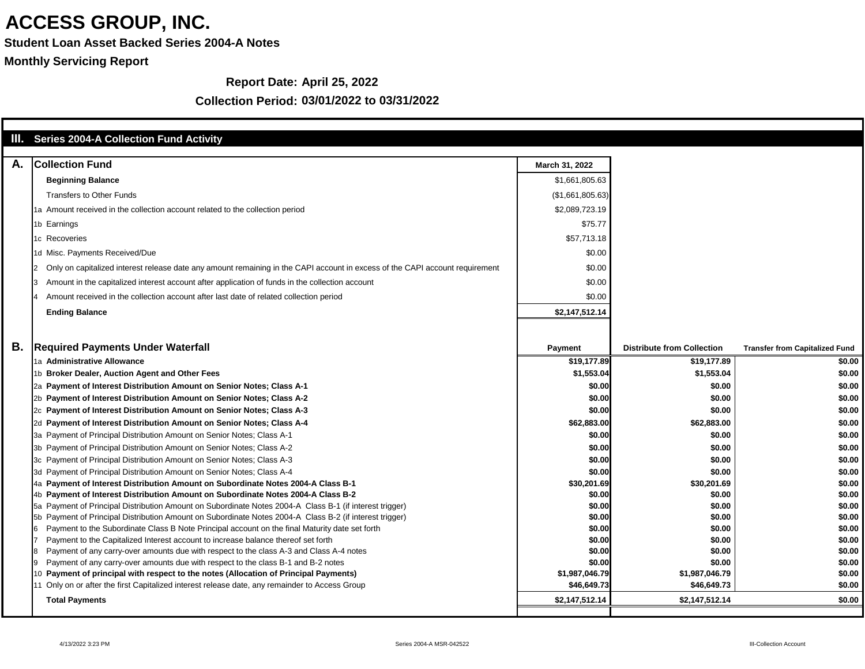**Student Loan Asset Backed Series 2004-A Notes**

**Monthly Servicing Report**

#### **Report Date: April 25, 2022**

|           | III. Series 2004-A Collection Fund Activity                                                                                                                                                                        |                  |                                   |                                       |
|-----------|--------------------------------------------------------------------------------------------------------------------------------------------------------------------------------------------------------------------|------------------|-----------------------------------|---------------------------------------|
| А.        | <b>Collection Fund</b>                                                                                                                                                                                             | March 31, 2022   |                                   |                                       |
|           | <b>Beginning Balance</b>                                                                                                                                                                                           | \$1,661,805.63   |                                   |                                       |
|           | <b>Transfers to Other Funds</b>                                                                                                                                                                                    | (\$1,661,805.63) |                                   |                                       |
|           | 1a Amount received in the collection account related to the collection period                                                                                                                                      | \$2,089,723.19   |                                   |                                       |
|           | 1b Earnings                                                                                                                                                                                                        | \$75.77          |                                   |                                       |
|           | 1c Recoveries                                                                                                                                                                                                      | \$57,713.18      |                                   |                                       |
|           |                                                                                                                                                                                                                    |                  |                                   |                                       |
|           | 1d Misc. Payments Received/Due                                                                                                                                                                                     | \$0.00           |                                   |                                       |
|           | Only on capitalized interest release date any amount remaining in the CAPI account in excess of the CAPI account requirement                                                                                       | \$0.00           |                                   |                                       |
|           | Amount in the capitalized interest account after application of funds in the collection account                                                                                                                    | \$0.00           |                                   |                                       |
|           | Amount received in the collection account after last date of related collection period                                                                                                                             | \$0.00           |                                   |                                       |
|           | <b>Ending Balance</b>                                                                                                                                                                                              | \$2,147,512.14   |                                   |                                       |
|           |                                                                                                                                                                                                                    |                  |                                   |                                       |
| <b>B.</b> | <b>Required Payments Under Waterfall</b>                                                                                                                                                                           | <b>Payment</b>   | <b>Distribute from Collection</b> | <b>Transfer from Capitalized Fund</b> |
|           | 1a Administrative Allowance                                                                                                                                                                                        | \$19,177.89      | \$19,177.89                       | \$0.00                                |
|           | 1b Broker Dealer, Auction Agent and Other Fees                                                                                                                                                                     | \$1,553.04       | \$1,553.04                        | \$0.00                                |
|           | 2a Payment of Interest Distribution Amount on Senior Notes; Class A-1                                                                                                                                              | \$0.00           | \$0.00                            | \$0.00                                |
|           | 2b Payment of Interest Distribution Amount on Senior Notes; Class A-2                                                                                                                                              | \$0.00           | \$0.00                            | \$0.00                                |
|           | 2c Payment of Interest Distribution Amount on Senior Notes; Class A-3                                                                                                                                              | \$0.00           | \$0.00                            | \$0.00                                |
|           | 2d Payment of Interest Distribution Amount on Senior Notes; Class A-4                                                                                                                                              | \$62,883.00      | \$62,883.00                       | \$0.00                                |
|           | 3a Payment of Principal Distribution Amount on Senior Notes; Class A-1                                                                                                                                             | \$0.00           | \$0.00                            | \$0.00                                |
|           | 3b Payment of Principal Distribution Amount on Senior Notes; Class A-2                                                                                                                                             | \$0.00           | \$0.00                            | \$0.00                                |
|           | 3c Payment of Principal Distribution Amount on Senior Notes; Class A-3                                                                                                                                             | \$0.00           | \$0.00                            | \$0.00                                |
|           | 3d Payment of Principal Distribution Amount on Senior Notes; Class A-4                                                                                                                                             | \$0.00           | \$0.00                            | \$0.00                                |
|           | 4a Payment of Interest Distribution Amount on Subordinate Notes 2004-A Class B-1                                                                                                                                   | \$30,201.69      | \$30,201.69                       | \$0.00                                |
|           | 4b Payment of Interest Distribution Amount on Subordinate Notes 2004-A Class B-2                                                                                                                                   | \$0.00           | \$0.00                            | \$0.00                                |
|           | 5a Payment of Principal Distribution Amount on Subordinate Notes 2004-A Class B-1 (if interest trigger)<br>5b Payment of Principal Distribution Amount on Subordinate Notes 2004-A Class B-2 (if interest trigger) | \$0.00<br>\$0.00 | \$0.00<br>\$0.00                  | \$0.00<br>\$0.00                      |
|           | Payment to the Subordinate Class B Note Principal account on the final Maturity date set forth                                                                                                                     | \$0.00           | \$0.00                            | \$0.00                                |
|           | Payment to the Capitalized Interest account to increase balance thereof set forth                                                                                                                                  | \$0.00           | \$0.00                            | \$0.00                                |
|           | Payment of any carry-over amounts due with respect to the class A-3 and Class A-4 notes                                                                                                                            | \$0.00           | \$0.00                            | \$0.00                                |
|           | Payment of any carry-over amounts due with respect to the class B-1 and B-2 notes                                                                                                                                  | \$0.00           | \$0.00                            | \$0.00                                |
|           | 10 Payment of principal with respect to the notes (Allocation of Principal Payments)                                                                                                                               | \$1,987,046.79   | \$1,987,046.79                    | \$0.00                                |
|           | 11 Only on or after the first Capitalized interest release date, any remainder to Access Group                                                                                                                     | \$46,649.73      | \$46,649.73                       | \$0.00                                |
|           | <b>Total Payments</b>                                                                                                                                                                                              | \$2,147,512.14   | \$2,147,512.14                    | \$0.00                                |
|           |                                                                                                                                                                                                                    |                  |                                   |                                       |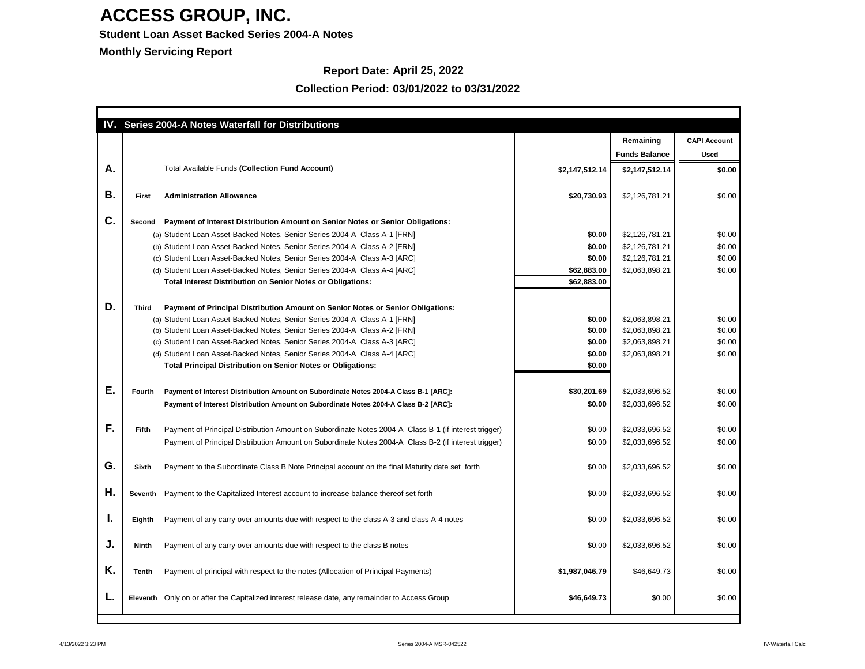### **Student Loan Asset Backed Series 2004-A Notes**

**Monthly Servicing Report**

### **Report Date: April 25, 2022**

|    |               | IV. Series 2004-A Notes Waterfall for Distributions                                                  |                |                      |                     |
|----|---------------|------------------------------------------------------------------------------------------------------|----------------|----------------------|---------------------|
|    |               |                                                                                                      |                | Remaining            | <b>CAPI Account</b> |
|    |               |                                                                                                      |                | <b>Funds Balance</b> | <b>Used</b>         |
| Α. |               | <b>Total Available Funds (Collection Fund Account)</b>                                               | \$2,147,512.14 | \$2,147,512.14       | \$0.00              |
|    |               |                                                                                                      |                |                      |                     |
| Β. | <b>First</b>  | <b>Administration Allowance</b>                                                                      | \$20,730.93    | \$2,126,781.21       | \$0.00              |
|    |               |                                                                                                      |                |                      |                     |
| C. | <b>Second</b> | Payment of Interest Distribution Amount on Senior Notes or Senior Obligations:                       |                |                      |                     |
|    |               | (a) Student Loan Asset-Backed Notes, Senior Series 2004-A Class A-1 [FRN]                            | \$0.00         | \$2,126,781.21       | \$0.00              |
|    |               | (b) Student Loan Asset-Backed Notes, Senior Series 2004-A Class A-2 [FRN]                            | \$0.00         | \$2,126,781.21       | \$0.00              |
|    |               | (c) Student Loan Asset-Backed Notes, Senior Series 2004-A Class A-3 [ARC]                            | \$0.00         | \$2,126,781.21       | \$0.00              |
|    |               | (d) Student Loan Asset-Backed Notes, Senior Series 2004-A Class A-4 [ARC]                            | \$62,883.00    | \$2,063,898.21       | \$0.00              |
|    |               | <b>Total Interest Distribution on Senior Notes or Obligations:</b>                                   | \$62,883.00    |                      |                     |
|    |               |                                                                                                      |                |                      |                     |
| D. | <b>Third</b>  | Payment of Principal Distribution Amount on Senior Notes or Senior Obligations:                      |                |                      |                     |
|    |               | (a) Student Loan Asset-Backed Notes, Senior Series 2004-A Class A-1 [FRN]                            | \$0.00         | \$2,063,898.21       | \$0.00              |
|    |               | (b) Student Loan Asset-Backed Notes, Senior Series 2004-A Class A-2 [FRN]                            | \$0.00         | \$2,063,898.21       | \$0.00              |
|    |               | (c) Student Loan Asset-Backed Notes, Senior Series 2004-A Class A-3 [ARC]                            | \$0.00         | \$2,063,898.21       | \$0.00              |
|    |               | (d) Student Loan Asset-Backed Notes, Senior Series 2004-A Class A-4 [ARC]                            | \$0.00         | \$2,063,898.21       | \$0.00              |
|    |               | <b>Total Principal Distribution on Senior Notes or Obligations:</b>                                  | \$0.00         |                      |                     |
|    |               |                                                                                                      |                |                      |                     |
| Е. | <b>Fourth</b> | Payment of Interest Distribution Amount on Subordinate Notes 2004-A Class B-1 [ARC]:                 | \$30,201.69    | \$2,033,696.52       | \$0.00              |
|    |               | Payment of Interest Distribution Amount on Subordinate Notes 2004-A Class B-2 [ARC]:                 | \$0.00         | \$2,033,696.52       | \$0.00              |
|    |               |                                                                                                      |                |                      |                     |
| F. | <b>Fifth</b>  | Payment of Principal Distribution Amount on Subordinate Notes 2004-A Class B-1 (if interest trigger) | \$0.00         | \$2,033,696.52       | \$0.00              |
|    |               | Payment of Principal Distribution Amount on Subordinate Notes 2004-A Class B-2 (if interest trigger) | \$0.00         | \$2,033,696.52       | \$0.00              |
|    |               |                                                                                                      |                |                      |                     |
| G. | <b>Sixth</b>  | Payment to the Subordinate Class B Note Principal account on the final Maturity date set forth       | \$0.00         | \$2,033,696.52       | \$0.00              |
|    |               |                                                                                                      |                |                      |                     |
|    |               |                                                                                                      |                |                      |                     |
| Η. | Seventh       | Payment to the Capitalized Interest account to increase balance thereof set forth                    | \$0.00         | \$2,033,696.52       | \$0.00              |
|    |               |                                                                                                      |                |                      |                     |
| ι. | Eighth        | Payment of any carry-over amounts due with respect to the class A-3 and class A-4 notes              | \$0.00         | \$2,033,696.52       | \$0.00              |
|    |               |                                                                                                      |                |                      |                     |
| J. | <b>Ninth</b>  | Payment of any carry-over amounts due with respect to the class B notes                              | \$0.00         | \$2,033,696.52       | \$0.00              |
|    |               |                                                                                                      |                |                      |                     |
| K. | <b>Tenth</b>  | Payment of principal with respect to the notes (Allocation of Principal Payments)                    | \$1,987,046.79 | \$46,649.73          | \$0.00              |
|    |               |                                                                                                      |                |                      |                     |
|    |               |                                                                                                      |                |                      |                     |
|    | Eleventh      | Only on or after the Capitalized interest release date, any remainder to Access Group                | \$46,649.73    | \$0.00               | \$0.00              |
|    |               |                                                                                                      |                |                      |                     |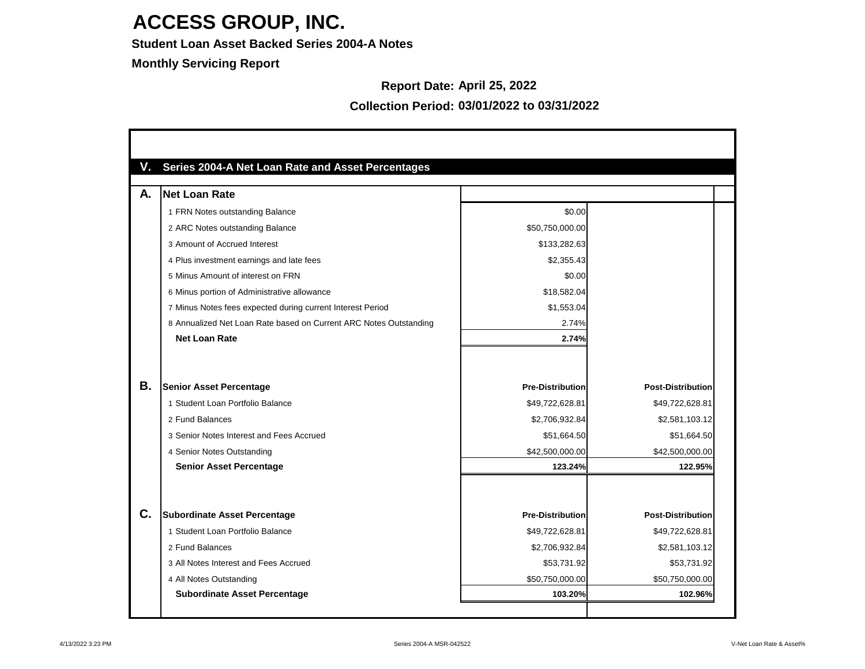#### **Student Loan Asset Backed Series 2004-A Notes**

**Monthly Servicing Report**

#### **Report Date: April 25, 2022**

| А. | <b>Net Loan Rate</b>                                              |                         |                          |
|----|-------------------------------------------------------------------|-------------------------|--------------------------|
|    | 1 FRN Notes outstanding Balance                                   | \$0.00                  |                          |
|    | 2 ARC Notes outstanding Balance                                   | \$50,750,000.00         |                          |
|    | 3 Amount of Accrued Interest                                      | \$133,282.63            |                          |
|    | 4 Plus investment earnings and late fees                          | \$2,355.43              |                          |
|    | 5 Minus Amount of interest on FRN                                 | \$0.00                  |                          |
|    | 6 Minus portion of Administrative allowance                       | \$18,582.04             |                          |
|    | 7 Minus Notes fees expected during current Interest Period        | \$1,553.04              |                          |
|    | 8 Annualized Net Loan Rate based on Current ARC Notes Outstanding | 2.74%                   |                          |
|    | <b>Net Loan Rate</b>                                              | 2.74%                   |                          |
|    |                                                                   |                         |                          |
| Β. | <b>Senior Asset Percentage</b>                                    | <b>Pre-Distribution</b> | <b>Post-Distribution</b> |
|    | 1 Student Loan Portfolio Balance                                  | \$49,722,628.81         | \$49,722,628.81          |
|    | 2 Fund Balances                                                   | \$2,706,932.84          | \$2,581,103.12           |
|    | 3 Senior Notes Interest and Fees Accrued                          | \$51,664.50             | \$51,664.50              |
|    | 4 Senior Notes Outstanding                                        | \$42,500,000.00         | \$42,500,000.00          |
|    | <b>Senior Asset Percentage</b>                                    | 123.24%                 | 122.95%                  |
|    |                                                                   |                         |                          |
| C. | <b>Subordinate Asset Percentage</b>                               | <b>Pre-Distribution</b> | <b>Post-Distribution</b> |
|    | 1 Student Loan Portfolio Balance                                  | \$49,722,628.81         | \$49,722,628.81          |
|    | 2 Fund Balances                                                   | \$2,706,932.84          | \$2,581,103.12           |
|    | 3 All Notes Interest and Fees Accrued                             | \$53,731.92             | \$53,731.92              |
|    | 4 All Notes Outstanding                                           | \$50,750,000.00         | \$50,750,000.00          |
|    |                                                                   |                         |                          |

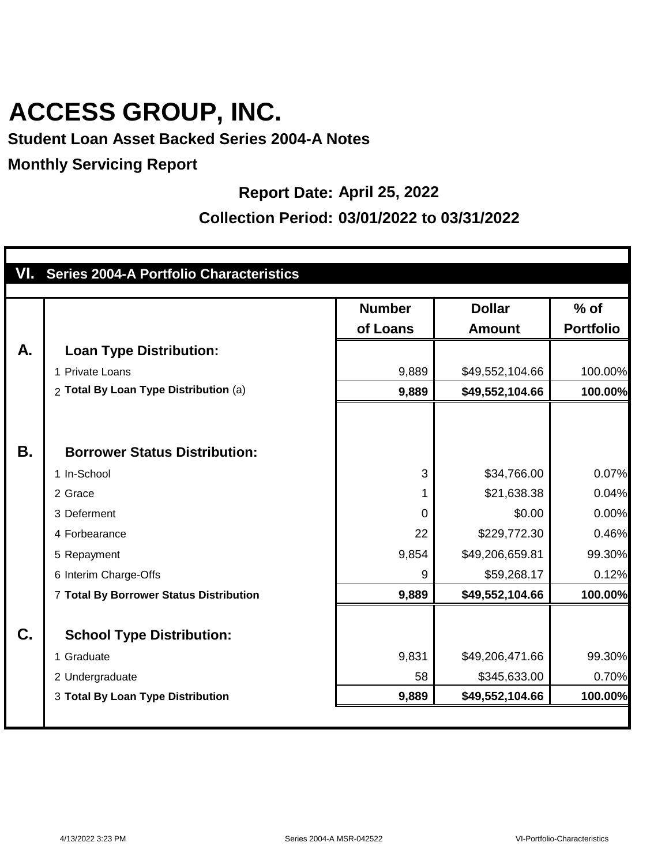### **Student Loan Asset Backed Series 2004-A Notes**

#### **Monthly Servicing Report**

#### **Report Date: April 25, 2022**

|           | VI. Series 2004-A Portfolio Characteristics |                           |                                |                            |
|-----------|---------------------------------------------|---------------------------|--------------------------------|----------------------------|
|           |                                             | <b>Number</b><br>of Loans | <b>Dollar</b><br><b>Amount</b> | $%$ of<br><b>Portfolio</b> |
| A.        | <b>Loan Type Distribution:</b>              |                           |                                |                            |
|           | 1 Private Loans                             | 9,889                     | \$49,552,104.66                | 100.00%                    |
|           | 2 Total By Loan Type Distribution (a)       | 9,889                     | \$49,552,104.66                | 100.00%                    |
|           |                                             |                           |                                |                            |
| <b>B.</b> | <b>Borrower Status Distribution:</b>        |                           |                                |                            |
|           | 1 In-School                                 | 3                         | \$34,766.00                    | 0.07%                      |
|           | 2 Grace                                     | 1                         | \$21,638.38                    | 0.04%                      |
|           | 3 Deferment                                 | $\overline{0}$            | \$0.00                         | 0.00%                      |
|           | 4 Forbearance                               | 22                        | \$229,772.30                   | 0.46%                      |
|           | 5 Repayment                                 | 9,854                     | \$49,206,659.81                | 99.30%                     |
|           | 6 Interim Charge-Offs                       | 9                         | \$59,268.17                    | 0.12%                      |
|           | 7 Total By Borrower Status Distribution     | 9,889                     | \$49,552,104.66                | 100.00%                    |
| C.        | <b>School Type Distribution:</b>            |                           |                                |                            |
|           | 1 Graduate                                  | 9,831                     | \$49,206,471.66                | 99.30%                     |
|           | 2 Undergraduate                             | 58                        | \$345,633.00                   | 0.70%                      |
|           | 3 Total By Loan Type Distribution           | 9,889                     | \$49,552,104.66                | 100.00%                    |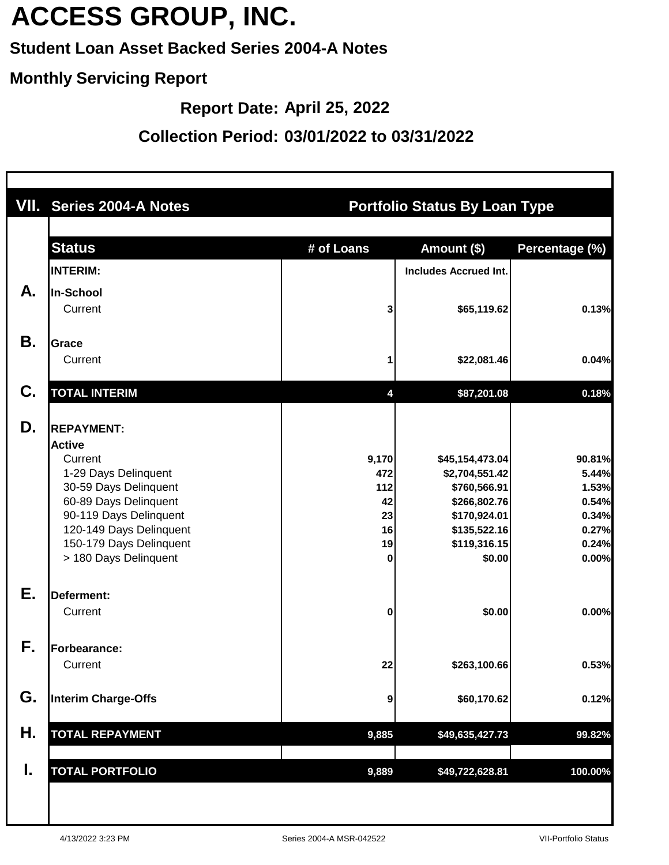### **Student Loan Asset Backed Series 2004-A Notes**

#### **Monthly Servicing Report**

**Report Date: April 25, 2022**

|    | VII. Series 2004-A Notes                                                                                                                                                                                                         | <b>Portfolio Status By Loan Type</b>                    |                                                                                                                             |                                                                       |  |  |  |
|----|----------------------------------------------------------------------------------------------------------------------------------------------------------------------------------------------------------------------------------|---------------------------------------------------------|-----------------------------------------------------------------------------------------------------------------------------|-----------------------------------------------------------------------|--|--|--|
|    | <b>Status</b><br><b>INTERIM:</b>                                                                                                                                                                                                 | # of Loans                                              | Amount (\$)<br><b>Includes Accrued Int.</b>                                                                                 | Percentage (%)                                                        |  |  |  |
| А. | In-School<br>Current                                                                                                                                                                                                             | 3                                                       | \$65,119.62                                                                                                                 | 0.13%                                                                 |  |  |  |
| Β. | <b>Grace</b><br>Current                                                                                                                                                                                                          |                                                         | \$22,081.46                                                                                                                 | 0.04%                                                                 |  |  |  |
| C. | <b>TOTAL INTERIM</b>                                                                                                                                                                                                             | 4                                                       | \$87,201.08                                                                                                                 | 0.18%                                                                 |  |  |  |
| D. | <b>REPAYMENT:</b><br><b>Active</b><br>Current<br>1-29 Days Delinquent<br>30-59 Days Delinquent<br>60-89 Days Delinquent<br>90-119 Days Delinquent<br>120-149 Days Delinquent<br>150-179 Days Delinquent<br>> 180 Days Delinquent | 9,170<br>472<br>112<br>42<br>23<br>16<br>19<br>$\bf{0}$ | \$45,154,473.04<br>\$2,704,551.42<br>\$760,566.91<br>\$266,802.76<br>\$170,924.01<br>\$135,522.16<br>\$119,316.15<br>\$0.00 | 90.81%<br>5.44%<br>1.53%<br>0.54%<br>0.34%<br>0.27%<br>0.24%<br>0.00% |  |  |  |
| Ε. | Deferment:<br>Current                                                                                                                                                                                                            | 0                                                       | \$0.00                                                                                                                      | 0.00%                                                                 |  |  |  |
| ŀ. | Forbearance:<br>Current                                                                                                                                                                                                          | 22                                                      | \$263,100.66                                                                                                                | 0.53%                                                                 |  |  |  |
| G. | <b>Interim Charge-Offs</b>                                                                                                                                                                                                       | 9                                                       | \$60,170.62                                                                                                                 | 0.12%                                                                 |  |  |  |
| Н. | <b>TOTAL REPAYMENT</b>                                                                                                                                                                                                           | 9,885                                                   | \$49,635,427.73                                                                                                             | 99.82%                                                                |  |  |  |
| Ι. | <b>TOTAL PORTFOLIO</b>                                                                                                                                                                                                           | 9,889                                                   | \$49,722,628.81                                                                                                             | 100.00%                                                               |  |  |  |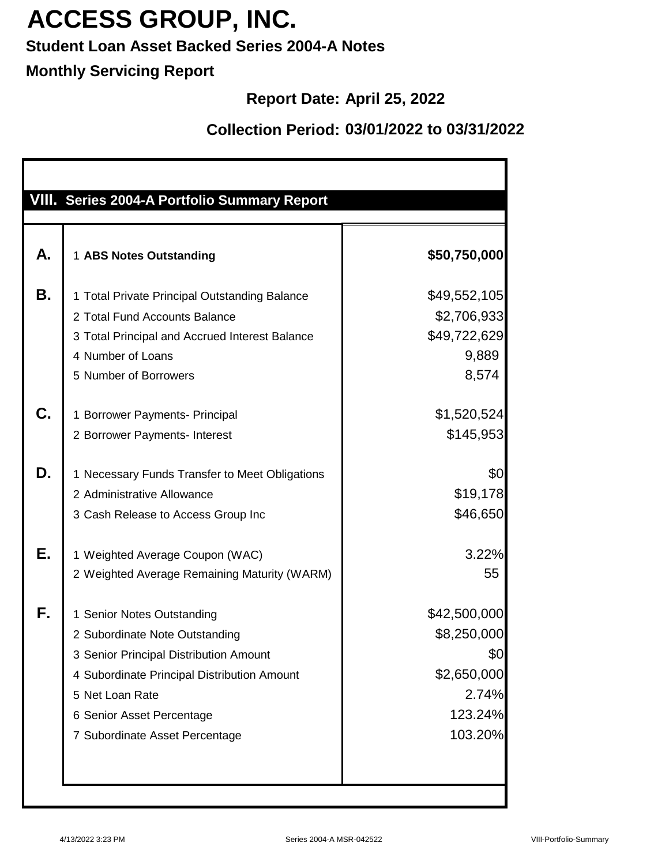### **Student Loan Asset Backed Series 2004-A Notes**

### **Monthly Servicing Report**

### **Report Date: April 25, 2022**

|    | VIII. Series 2004-A Portfolio Summary Report   |              |
|----|------------------------------------------------|--------------|
|    |                                                |              |
| Α. | 1 ABS Notes Outstanding                        | \$50,750,000 |
| В. | 1 Total Private Principal Outstanding Balance  | \$49,552,105 |
|    | 2 Total Fund Accounts Balance                  | \$2,706,933  |
|    | 3 Total Principal and Accrued Interest Balance | \$49,722,629 |
|    | 4 Number of Loans                              | 9,889        |
|    | 5 Number of Borrowers                          | 8,574        |
| C. | 1 Borrower Payments- Principal                 | \$1,520,524  |
|    | 2 Borrower Payments- Interest                  | \$145,953    |
| D. | 1 Necessary Funds Transfer to Meet Obligations | \$0          |
|    | 2 Administrative Allowance                     | \$19,178     |
|    | 3 Cash Release to Access Group Inc             | \$46,650     |
| Е. | 1 Weighted Average Coupon (WAC)                | 3.22%        |
|    | 2 Weighted Average Remaining Maturity (WARM)   | 55           |
| F. | 1 Senior Notes Outstanding                     | \$42,500,000 |
|    | 2 Subordinate Note Outstanding                 | \$8,250,000  |
|    | 3 Senior Principal Distribution Amount         | \$0          |
|    | 4 Subordinate Principal Distribution Amount    | \$2,650,000  |
|    | 5 Net Loan Rate                                | 2.74%        |
|    | 6 Senior Asset Percentage                      | 123.24%      |
|    | 7 Subordinate Asset Percentage                 | 103.20%      |
|    |                                                |              |
|    |                                                |              |